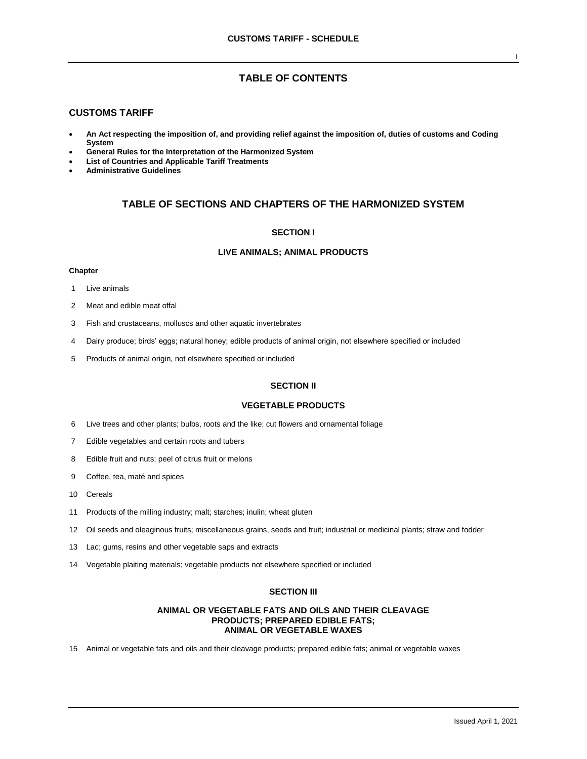# **TABLE OF CONTENTS**

# **CUSTOMS TARIFF**

- **An Act respecting the imposition of, and providing relief against the imposition of, duties of customs and Coding System**
- **General Rules for the Interpretation of the Harmonized System**
- **List of Countries and Applicable Tariff Treatments**
- **Administrative Guidelines**

# **TABLE OF SECTIONS AND CHAPTERS OF THE HARMONIZED SYSTEM**

### **SECTION I**

# **LIVE ANIMALS; ANIMAL PRODUCTS**

### **Chapter**

- 1 Live animals
- 2 Meat and edible meat offal
- 3 Fish and crustaceans, molluscs and other aquatic invertebrates
- 4 Dairy produce; birds' eggs; natural honey; edible products of animal origin, not elsewhere specified or included
- 5 Products of animal origin, not elsewhere specified or included

# **SECTION II**

# **VEGETABLE PRODUCTS**

- 6 Live trees and other plants; bulbs, roots and the like; cut flowers and ornamental foliage
- 7 Edible vegetables and certain roots and tubers
- 8 Edible fruit and nuts; peel of citrus fruit or melons
- 9 Coffee, tea, maté and spices
- 10 Cereals
- 11 Products of the milling industry; malt; starches; inulin; wheat gluten
- 12 Oil seeds and oleaginous fruits; miscellaneous grains, seeds and fruit; industrial or medicinal plants; straw and fodder
- 13 Lac; gums, resins and other vegetable saps and extracts
- 14 Vegetable plaiting materials; vegetable products not elsewhere specified or included

### **SECTION III**

### **ANIMAL OR VEGETABLE FATS AND OILS AND THEIR CLEAVAGE PRODUCTS; PREPARED EDIBLE FATS; ANIMAL OR VEGETABLE WAXES**

15 Animal or vegetable fats and oils and their cleavage products; prepared edible fats; animal or vegetable waxes

I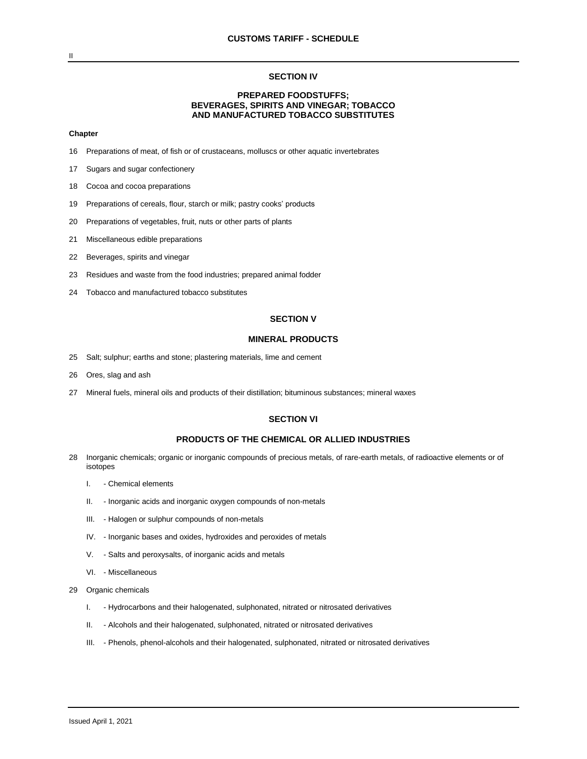### **SECTION IV**

# **PREPARED FOODSTUFFS; BEVERAGES, SPIRITS AND VINEGAR; TOBACCO AND MANUFACTURED TOBACCO SUBSTITUTES**

#### **Chapter**

- 16 Preparations of meat, of fish or of crustaceans, molluscs or other aquatic invertebrates
- 17 Sugars and sugar confectionery
- 18 Cocoa and cocoa preparations
- 19 Preparations of cereals, flour, starch or milk; pastry cooks' products
- 20 Preparations of vegetables, fruit, nuts or other parts of plants
- 21 Miscellaneous edible preparations
- 22 Beverages, spirits and vinegar
- 23 Residues and waste from the food industries; prepared animal fodder
- 24 Tobacco and manufactured tobacco substitutes

### **SECTION V**

### **MINERAL PRODUCTS**

- 25 Salt; sulphur; earths and stone; plastering materials, lime and cement
- 26 Ores, slag and ash
- 27 Mineral fuels, mineral oils and products of their distillation; bituminous substances; mineral waxes

### **SECTION VI**

## **PRODUCTS OF THE CHEMICAL OR ALLIED INDUSTRIES**

- 28 Inorganic chemicals; organic or inorganic compounds of precious metals, of rare-earth metals, of radioactive elements or of isotopes
	- I. Chemical elements
	- II. Inorganic acids and inorganic oxygen compounds of non-metals
	- III. Halogen or sulphur compounds of non-metals
	- IV. Inorganic bases and oxides, hydroxides and peroxides of metals
	- V. Salts and peroxysalts, of inorganic acids and metals
	- VI. Miscellaneous
- 29 Organic chemicals
	- I. Hydrocarbons and their halogenated, sulphonated, nitrated or nitrosated derivatives
	- II. Alcohols and their halogenated, sulphonated, nitrated or nitrosated derivatives
	- III. Phenols, phenol-alcohols and their halogenated, sulphonated, nitrated or nitrosated derivatives

II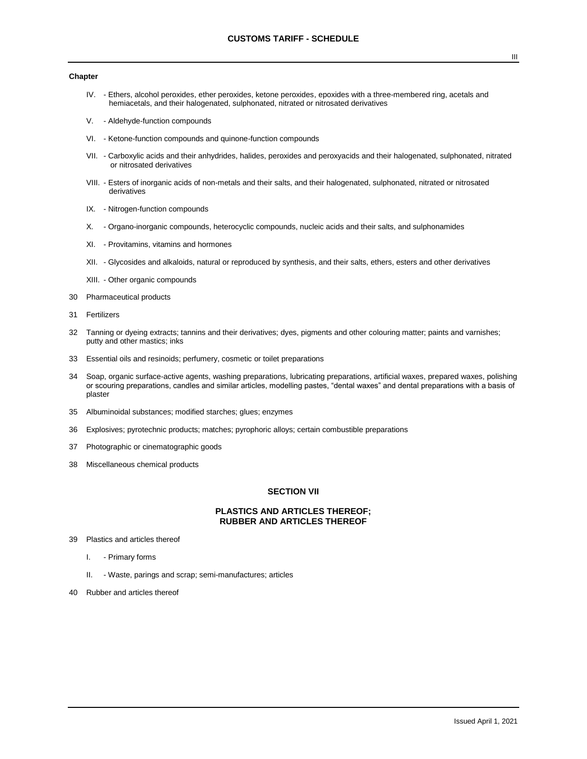### **Chapter**

- IV. Ethers, alcohol peroxides, ether peroxides, ketone peroxides, epoxides with a three-membered ring, acetals and hemiacetals, and their halogenated, sulphonated, nitrated or nitrosated derivatives
- V. Aldehyde-function compounds
- VI. Ketone-function compounds and quinone-function compounds
- VII. Carboxylic acids and their anhydrides, halides, peroxides and peroxyacids and their halogenated, sulphonated, nitrated or nitrosated derivatives
- VIII. Esters of inorganic acids of non-metals and their salts, and their halogenated, sulphonated, nitrated or nitrosated derivatives
- IX. Nitrogen-function compounds
- X. Organo-inorganic compounds, heterocyclic compounds, nucleic acids and their salts, and sulphonamides
- XI. Provitamins, vitamins and hormones
- XII. Glycosides and alkaloids, natural or reproduced by synthesis, and their salts, ethers, esters and other derivatives
- XIII. Other organic compounds
- 30 Pharmaceutical products
- 31 Fertilizers
- 32 Tanning or dyeing extracts; tannins and their derivatives; dyes, pigments and other colouring matter; paints and varnishes; putty and other mastics; inks
- 33 Essential oils and resinoids; perfumery, cosmetic or toilet preparations
- 34 Soap, organic surface-active agents, washing preparations, lubricating preparations, artificial waxes, prepared waxes, polishing or scouring preparations, candles and similar articles, modelling pastes, "dental waxes" and dental preparations with a basis of plaster
- 35 Albuminoidal substances; modified starches; glues; enzymes
- 36 Explosives; pyrotechnic products; matches; pyrophoric alloys; certain combustible preparations
- 37 Photographic or cinematographic goods
- 38 Miscellaneous chemical products

## **SECTION VII**

## **PLASTICS AND ARTICLES THEREOF; RUBBER AND ARTICLES THEREOF**

- 39 Plastics and articles thereof
	- I. Primary forms
	- II. Waste, parings and scrap; semi-manufactures; articles
- 40 Rubber and articles thereof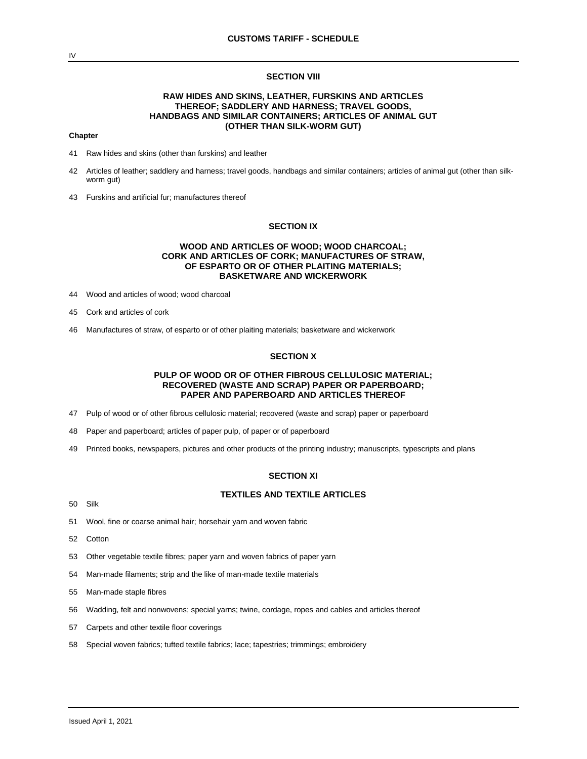### **SECTION VIII**

# **RAW HIDES AND SKINS, LEATHER, FURSKINS AND ARTICLES THEREOF; SADDLERY AND HARNESS; TRAVEL GOODS, HANDBAGS AND SIMILAR CONTAINERS; ARTICLES OF ANIMAL GUT (OTHER THAN SILK-WORM GUT)**

### **Chapter**

- 41 Raw hides and skins (other than furskins) and leather
- 42 Articles of leather; saddlery and harness; travel goods, handbags and similar containers; articles of animal gut (other than silkworm gut)
- 43 Furskins and artificial fur; manufactures thereof

# **SECTION IX**

## **WOOD AND ARTICLES OF WOOD; WOOD CHARCOAL; CORK AND ARTICLES OF CORK; MANUFACTURES OF STRAW, OF ESPARTO OR OF OTHER PLAITING MATERIALS; BASKETWARE AND WICKERWORK**

- 44 Wood and articles of wood; wood charcoal
- 45 Cork and articles of cork
- 46 Manufactures of straw, of esparto or of other plaiting materials; basketware and wickerwork

### **SECTION X**

# **PULP OF WOOD OR OF OTHER FIBROUS CELLULOSIC MATERIAL; RECOVERED (WASTE AND SCRAP) PAPER OR PAPERBOARD; PAPER AND PAPERBOARD AND ARTICLES THEREOF**

- 47 Pulp of wood or of other fibrous cellulosic material; recovered (waste and scrap) paper or paperboard
- 48 Paper and paperboard; articles of paper pulp, of paper or of paperboard
- 49 Printed books, newspapers, pictures and other products of the printing industry; manuscripts, typescripts and plans

### **SECTION XI**

### **TEXTILES AND TEXTILE ARTICLES**

- 50 Silk
- 51 Wool, fine or coarse animal hair; horsehair yarn and woven fabric
- 52 Cotton
- 53 Other vegetable textile fibres; paper yarn and woven fabrics of paper yarn
- 54 Man-made filaments; strip and the like of man-made textile materials
- 55 Man-made staple fibres
- 56 Wadding, felt and nonwovens; special yarns; twine, cordage, ropes and cables and articles thereof
- 57 Carpets and other textile floor coverings
- 58 Special woven fabrics; tufted textile fabrics; lace; tapestries; trimmings; embroidery

IV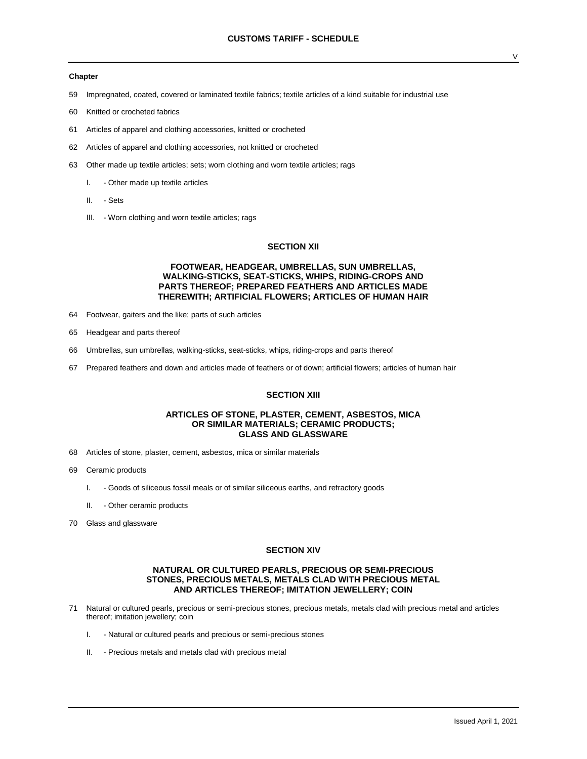#### **Chapter**

- 59 Impregnated, coated, covered or laminated textile fabrics; textile articles of a kind suitable for industrial use
- 60 Knitted or crocheted fabrics
- 61 Articles of apparel and clothing accessories, knitted or crocheted
- 62 Articles of apparel and clothing accessories, not knitted or crocheted
- 63 Other made up textile articles; sets; worn clothing and worn textile articles; rags
	- I. Other made up textile articles
	- II. Sets
	- III. Worn clothing and worn textile articles; rags

## **SECTION XII**

## **FOOTWEAR, HEADGEAR, UMBRELLAS, SUN UMBRELLAS, WALKING-STICKS, SEAT-STICKS, WHIPS, RIDING-CROPS AND PARTS THEREOF; PREPARED FEATHERS AND ARTICLES MADE THEREWITH; ARTIFICIAL FLOWERS; ARTICLES OF HUMAN HAIR**

- 64 Footwear, gaiters and the like; parts of such articles
- 65 Headgear and parts thereof
- 66 Umbrellas, sun umbrellas, walking-sticks, seat-sticks, whips, riding-crops and parts thereof
- 67 Prepared feathers and down and articles made of feathers or of down; artificial flowers; articles of human hair

## **SECTION XIII**

### **ARTICLES OF STONE, PLASTER, CEMENT, ASBESTOS, MICA OR SIMILAR MATERIALS; CERAMIC PRODUCTS; GLASS AND GLASSWARE**

- 68 Articles of stone, plaster, cement, asbestos, mica or similar materials
- 69 Ceramic products
	- I. Goods of siliceous fossil meals or of similar siliceous earths, and refractory goods
	- II. Other ceramic products
- 70 Glass and glassware

### **SECTION XIV**

## **NATURAL OR CULTURED PEARLS, PRECIOUS OR SEMI-PRECIOUS STONES, PRECIOUS METALS, METALS CLAD WITH PRECIOUS METAL AND ARTICLES THEREOF; IMITATION JEWELLERY; COIN**

- 71 Natural or cultured pearls, precious or semi-precious stones, precious metals, metals clad with precious metal and articles thereof; imitation jewellery; coin
	- I. Natural or cultured pearls and precious or semi-precious stones
	- II. Precious metals and metals clad with precious metal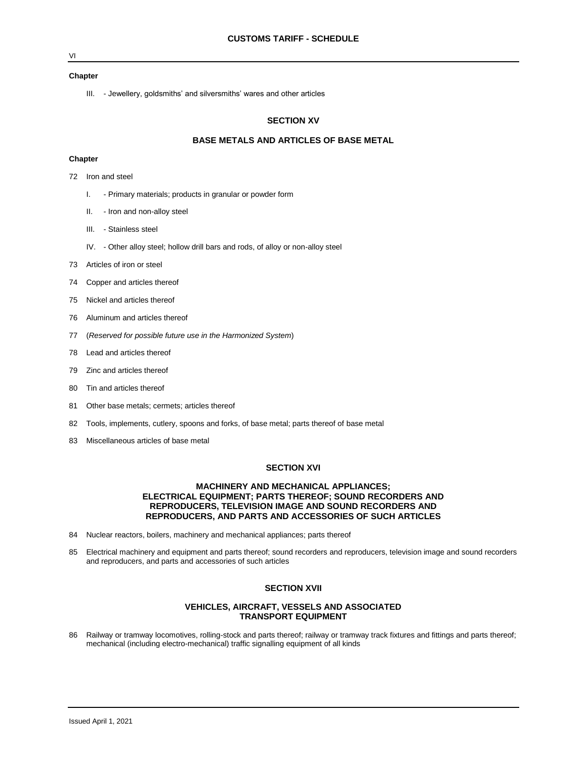### VI

### **Chapter**

III. - Jewellery, goldsmiths' and silversmiths' wares and other articles

## **SECTION XV**

## **BASE METALS AND ARTICLES OF BASE METAL**

### **Chapter**

- 72 Iron and steel
	- I. Primary materials; products in granular or powder form
	- II. Iron and non-alloy steel
	- III. Stainless steel
	- IV. Other alloy steel; hollow drill bars and rods, of alloy or non-alloy steel
- 73 Articles of iron or steel
- 74 Copper and articles thereof
- 75 Nickel and articles thereof
- 76 Aluminum and articles thereof
- 77 (*Reserved for possible future use in the Harmonized System*)
- 78 Lead and articles thereof
- 79 Zinc and articles thereof
- 80 Tin and articles thereof
- 81 Other base metals; cermets; articles thereof
- 82 Tools, implements, cutlery, spoons and forks, of base metal; parts thereof of base metal
- 83 Miscellaneous articles of base metal

### **SECTION XVI**

## **MACHINERY AND MECHANICAL APPLIANCES; ELECTRICAL EQUIPMENT; PARTS THEREOF; SOUND RECORDERS AND REPRODUCERS, TELEVISION IMAGE AND SOUND RECORDERS AND REPRODUCERS, AND PARTS AND ACCESSORIES OF SUCH ARTICLES**

- 84 Nuclear reactors, boilers, machinery and mechanical appliances; parts thereof
- 85 Electrical machinery and equipment and parts thereof; sound recorders and reproducers, television image and sound recorders and reproducers, and parts and accessories of such articles

## **SECTION XVII**

## **VEHICLES, AIRCRAFT, VESSELS AND ASSOCIATED TRANSPORT EQUIPMENT**

86 Railway or tramway locomotives, rolling-stock and parts thereof; railway or tramway track fixtures and fittings and parts thereof; mechanical (including electro-mechanical) traffic signalling equipment of all kinds